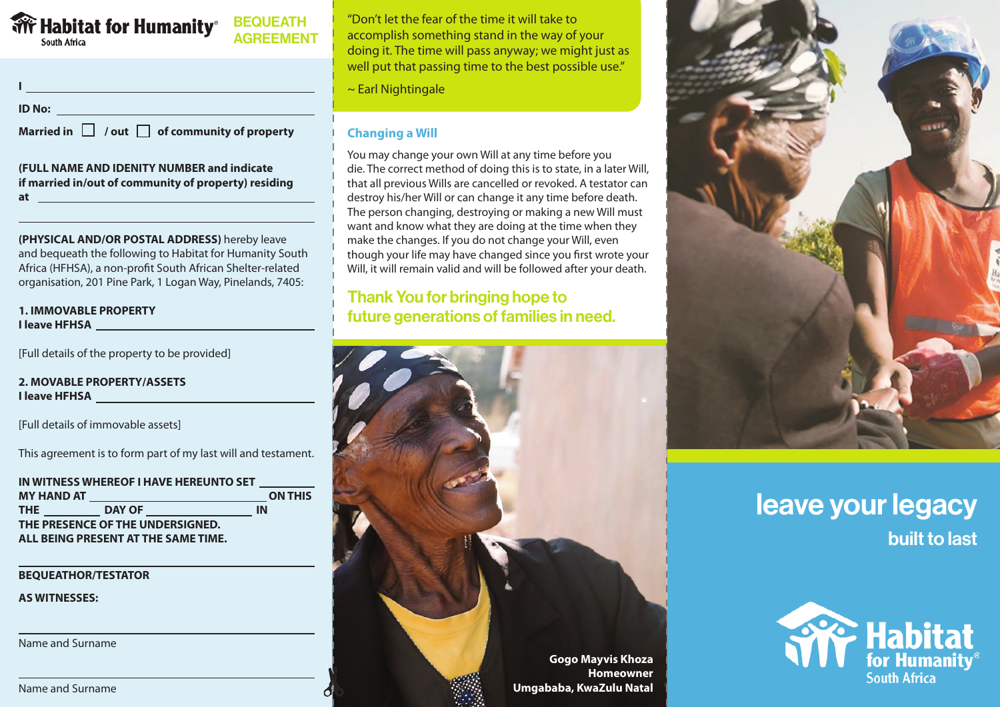# **Buth Africa**<br>South Africa

**BEQUEATH AGREEMENT** 

**ID No:**

**Married in**  $\Box$  / out  $\Box$  of community of property

**I** <u>In the contract of the contract of the contract of</u>

#### **(FULL NAME AND IDENITY NUMBER and indicate if married in/out of community of property) residing at**

**(PHYSICAL AND/OR POSTAL ADDRESS)** hereby leave and bequeath the following to Habitat for Humanity South Africa (HFHSA), a non-profit South African Shelter-related organisation, 201 Pine Park, 1 Logan Way, Pinelands, 7405:

#### **1. IMMOVABLE PROPERTY I leave HFHSA**

[Full details of the property to be provided]

#### **2. MOVABLE PROPERTY/ASSETS I leave HFHSA**

[Full details of immovable assets]

This agreement is to form part of my last will and testament.

| IN WITNESS WHEREOF I HAVE HEREUNTO SET |                                                 |                |
|----------------------------------------|-------------------------------------------------|----------------|
|                                        | <b>MY HAND AT _____________________________</b> | <b>ON THIS</b> |
| THE THE                                | <b>DAY OF</b>                                   | ΙN             |
| THE PRESENCE OF THE UNDERSIGNED.       |                                                 |                |
| ALL BEING PRESENT AT THE SAME TIME.    |                                                 |                |

**BEQUEATHOR/TESTATOR**

**AS WITNESSES:**

Name and Surname

"Don't let the fear of the time it will take to accomplish something stand in the way of your doing it. The time will pass anyway; we might just as well put that passing time to the best possible use."

~ Earl Nightingale

### **Changing a Will**

You may change your own Will at any time before you die. The correct method of doing this is to state, in a later Will, that all previous Wills are cancelled or revoked. A testator can destroy his/her Will or can change it any time before death. The person changing, destroying or making a new Will must want and know what they are doing at the time when they make the changes. If you do not change your Will, even though your life may have changed since you first wrote your Will, it will remain valid and will be followed after your death.

## Thank You for bringing hope to future generations of families in need.





## leave your legacy built to last



Name and Surname